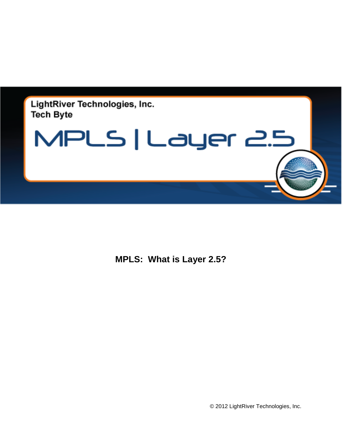



**MPLS: What is Layer 2.5?**

© 2012 LightRiver Technologies, Inc.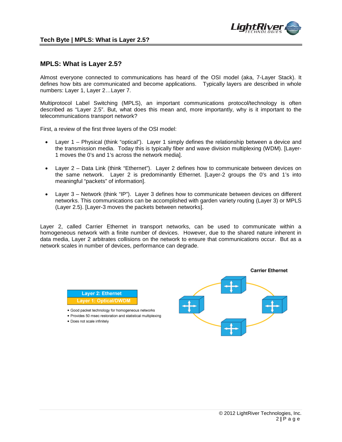

## **MPLS: What is Layer 2.5?**

Almost everyone connected to communications has heard of the OSI model (aka, 7-Layer Stack). It defines how bits are communicated and become applications. Typically layers are described in whole numbers: Layer 1, Layer 2…Layer 7.

Multiprotocol Label Switching (MPLS), an important communications protocol/technology is often described as "Layer 2.5". But, what does this mean and, more importantly, why is it important to the telecommunications transport network?

First, a review of the first three layers of the OSI model:

- Layer 1 Physical (think "optical"). Layer 1 simply defines the relationship between a device and the transmission media. Today this is typically fiber and wave division multiplexing (WDM). [Layer-1 moves the 0's and 1's across the network media].
- Layer 2 Data Link (think "Ethernet"). Layer 2 defines how to communicate between devices on the same network. Layer 2 is predominantly Ethernet. [Layer-2 groups the 0's and 1's into meaningful "packets" of information].
- Layer 3 Network (think "IP"). Layer 3 defines how to communicate between devices on different networks. This communications can be accomplished with garden variety routing (Layer 3) or MPLS (Layer 2.5). [Layer-3 moves the packets between networks].

Layer 2, called Carrier Ethernet in transport networks, can be used to communicate within a homogeneous network with a finite number of devices. However, due to the shared nature inherent in data media, Layer 2 arbitrates collisions on the network to ensure that communications occur. But as a network scales in number of devices, performance can degrade.

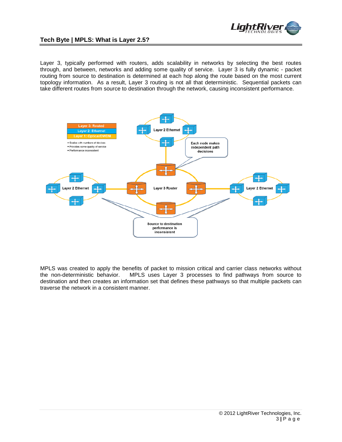

## **Tech Byte | MPLS: What is Layer 2.5?**

Layer 3, typically performed with routers, adds scalability in networks by selecting the best routes through, and between, networks and adding some quality of service. Layer 3 is fully dynamic - packet routing from source to destination is determined at each hop along the route based on the most current topology information. As a result, Layer 3 routing is not all that deterministic. Sequential packets can take different routes from source to destination through the network, causing inconsistent performance.



MPLS was created to apply the benefits of packet to mission critical and carrier class networks without the non-deterministic behavior. MPLS uses Layer 3 processes to find pathways from source to destination and then creates an information set that defines these pathways so that multiple packets can traverse the network in a consistent manner.